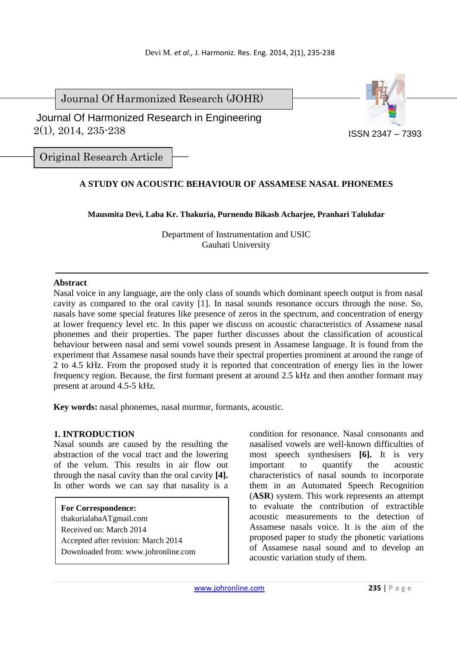Journal Of Harmonized Research (JOHR)



 2(1), 2014, 235-238 Journal Of Harmonized Research in Engineering

Original Research Article

# **A STUDY ON ACOUSTIC BEHAVIOUR OF ASSAMESE NASAL PHONEMES**

**Mausmita Devi, Laba Kr. Thakuria, Purnendu Bikash Acharjee, Pranhari Talukdar** 

Department of Instrumentation and USIC Gauhati University

#### **Abstract**

Nasal voice in any language, are the only class of sounds which dominant speech output is from nasal cavity as compared to the oral cavity [1]. In nasal sounds resonance occurs through the nose. So, nasals have some special features like presence of zeros in the spectrum, and concentration of energy at lower frequency level etc. In this paper we discuss on acoustic characteristics of Assamese nasal phonemes and their properties. The paper further discusses about the classification of acoustical behaviour between nasal and semi vowel sounds present in Assamese language. It is found from the experiment that Assamese nasal sounds have their spectral properties prominent at around the range of 2 to 4.5 kHz. From the proposed study it is reported that concentration of energy lies in the lower frequency region. Because, the first formant present at around 2.5 kHz and then another formant may present at around 4.5-5 kHz.

**Key words:** nasal phonemes, nasal murmur, formants, acoustic.

### **1. INTRODUCTION**

Nasal sounds are caused by the resulting the abstraction of the vocal tract and the lowering of the velum. This results in air flow out through the nasal cavity than the oral cavity **[4].** In other words we can say that nasality is a

**For Correspondence:**  thakurialabaATgmail.com Received on: March 2014 Accepted after revision: March 2014 Downloaded from: www.johronline.com condition for resonance. Nasal consonants and nasalised vowels are well-known difficulties of most speech synthesisers **[6].** It is very important to quantify the acoustic characteristics of nasal sounds to incorporate them in an Automated Speech Recognition (**ASR**) system. This work represents an attempt to evaluate the contribution of extractible acoustic measurements to the detection of Assamese nasals voice. It is the aim of the proposed paper to study the phonetic variations of Assamese nasal sound and to develop an acoustic variation study of them.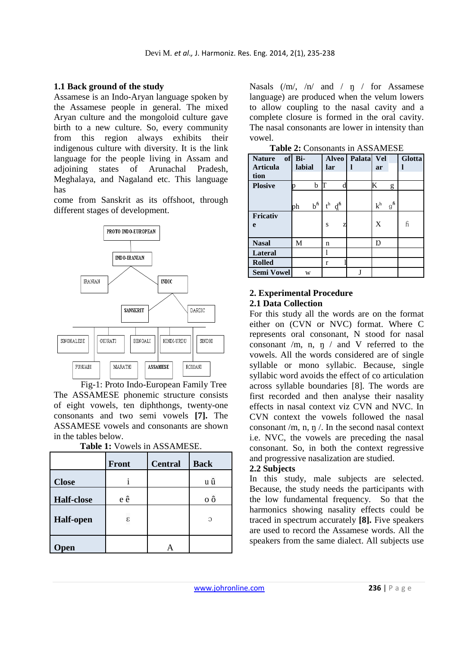# **1.1 Back ground of the study**

Assamese is an Indo-Aryan language spoken by the Assamese people in general. The mixed Aryan culture and the mongoloid culture gave birth to a new culture. So, every community from this region always exhibits their indigenous culture with diversity. It is the link language for the people living in Assam and adjoining states of Arunachal Pradesh, Meghalaya, and Nagaland etc. This language has

come from Sanskrit as its offshoot, through different stages of development.



Fig-1: Proto Indo-European Family Tree The ASSAMESE phonemic structure consists of eight vowels, ten diphthongs, twenty-one consonants and two semi vowels **[7].** The ASSAMESE vowels and consonants are shown in the tables below.

|                   | <b>Front</b> | <b>Central</b> | <b>Back</b> |  |
|-------------------|--------------|----------------|-------------|--|
| <b>Close</b>      |              |                | u û         |  |
| <b>Half-close</b> | e ê          |                | 0ô          |  |
| <b>Half-open</b>  | ε            |                | $\Omega$    |  |
| Open              |              |                |             |  |

**Table 1:** Vowels in ASSAMESE.

Nasals  $(\text{m}, \text{m})$  and  $\text{m}$  for Assamese language) are produced when the velum lowers to allow coupling to the nasal cavity and a complete closure is formed in the oral cavity. The nasal consonants are lower in intensity than vowel.

| <b>Nature</b>     | of Bi-                 | <b>Alveo</b>                          | Palata Vel |                            | <b>Glotta</b> |
|-------------------|------------------------|---------------------------------------|------------|----------------------------|---------------|
| <b>Articula</b>   | labial                 | lar                                   |            | ar                         |               |
| tion              |                        |                                       |            |                            |               |
| <b>Plosive</b>    | b                      | d                                     |            | Κ<br>g                     |               |
|                   |                        |                                       |            |                            |               |
|                   | $b^{\mathsf{h}}$<br>ph | $t^h$<br>$\boldsymbol{d}^{\text{fi}}$ |            | $g^{\mathsf{fi}}$<br>$k^h$ |               |
| <b>Fricativ</b>   |                        |                                       |            |                            |               |
| e                 |                        | S<br>Z                                |            | X                          | ĥ             |
|                   |                        |                                       |            |                            |               |
| <b>Nasal</b>      | М                      | n                                     |            | Ŋ                          |               |
| <b>Lateral</b>    |                        |                                       |            |                            |               |
| <b>Rolled</b>     |                        | r                                     |            |                            |               |
| <b>Semi Vowel</b> | W                      |                                       | J          |                            |               |

**Table 2:** Consonants in ASSAMESE

# **2. Experimental Procedure 2.1 Data Collection**

For this study all the words are on the format either on (CVN or NVC) format. Where C represents oral consonant, N stood for nasal consonant /m, n,  $\eta$  / and V referred to the vowels. All the words considered are of single syllable or mono syllabic. Because, single syllabic word avoids the effect of co articulation across syllable boundaries [8]. The words are first recorded and then analyse their nasality effects in nasal context viz CVN and NVC. In CVN context the vowels followed the nasal consonant /m, n,  $\eta$  /. In the second nasal context i.e. NVC, the vowels are preceding the nasal consonant. So, in both the context regressive and progressive nasalization are studied.

### **2.2 Subjects**

In this study, male subjects are selected. Because, the study needs the participants with the low fundamental frequency. So that the harmonics showing nasality effects could be traced in spectrum accurately **[8].** Five speakers are used to record the Assamese words. All the speakers from the same dialect. All subjects use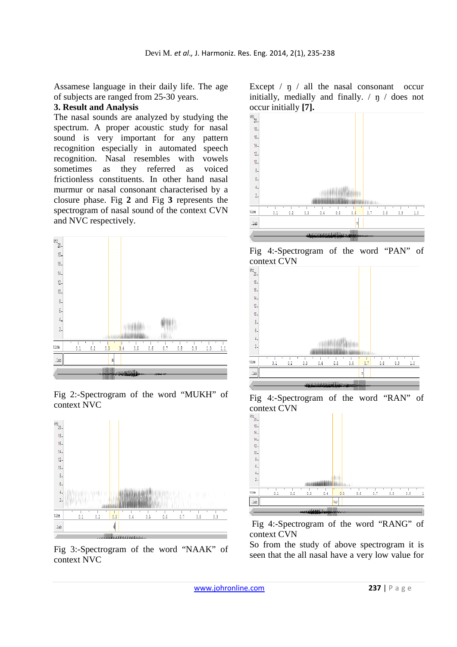Assamese language in their daily life. The age of subjects are ranged from 25-30 years.

## **3. Result and Analysis**

The nasal sounds are analyzed by studying the spectrum. A proper acoustic study for nasal sound is very important for any pattern recognition especially in automated speech recognition. Nasal resembles with vowels<br>sometimes as they referred as voiced they referred as voiced frictionless constituents. In other hand nasal murmur or nasal consonant characterised by a closure phase. Fig **2** and Fig **3** represents the spectrogram of nasal sound of the context CVN and NVC respectively.



Fig 2:-Spectrogram of the word "MUKH" of context NVC



Fig 3:-Spectrogram of the word "NAAK" of context NVC

Except  $/ \eta /$  all the nasal consonant occur initially, medially and finally. / ŋ / does not occur initially **[7].**



Fig 4:-Spectrogram of the word "PAN" of context CVN







 Fig 4:-Spectrogram of the word "RANG" of context CVN

So from the study of above spectrogram it is seen that the all nasal have a very low value for